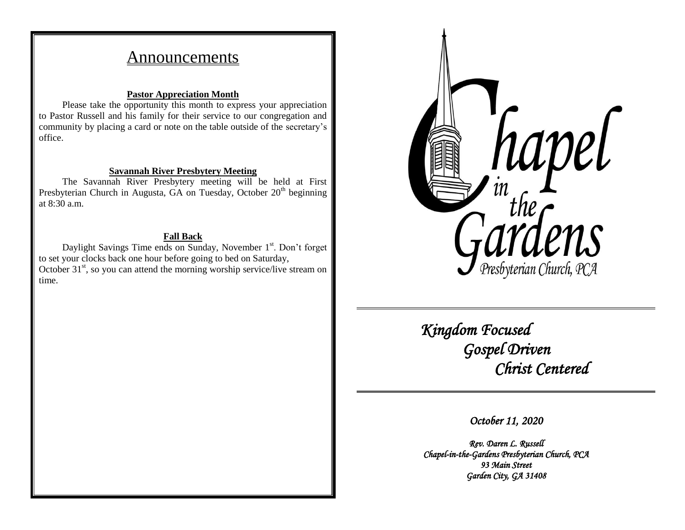# Announcements

## **Pastor Appreciation Month**

Please take the opportunity this month to express your appreciation to Pastor Russell and his family for their service to our congregation and community by placing a card or note on the table outside of the secretary's office.

## **Savannah River Presbytery Meeting**

The Savannah River Presbytery meeting will be held at First Presbyterian Church in Augusta, GA on Tuesday, October  $20<sup>th</sup>$  beginning at 8:30 a.m.

# **Fall Back**

Daylight Savings Time ends on Sunday, November 1<sup>st</sup>. Don't forget to set your clocks back one hour before going to bed on Saturday, October  $31<sup>st</sup>$ , so you can attend the morning worship service/live stream on time.



 *Kingdom Focused Gospel Driven Christ Centered* 

*October 11, 2020* 

*Rev. Daren L. Russell Chapel-in-the-Gardens Presbyterian Church, PCA 93 Main Street Garden City, GA 31408*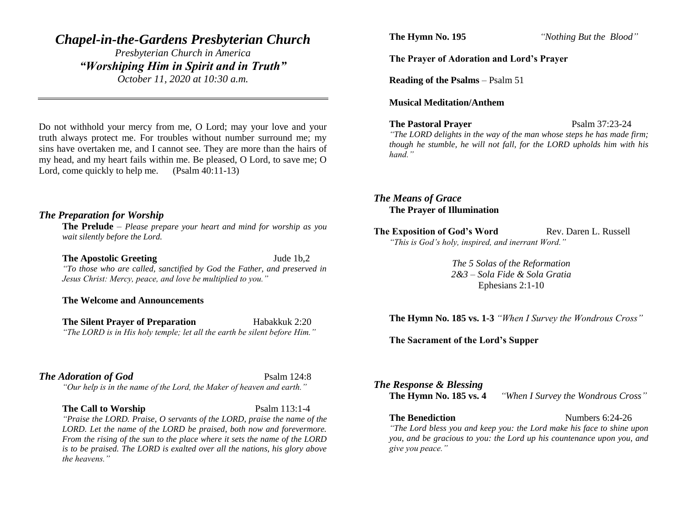# *Chapel-in-the-Gardens Presbyterian Church*

*Presbyterian Church in America "Worshiping Him in Spirit and in Truth" October 11, 2020 at 10:30 a.m.*

Do not withhold your mercy from me, O Lord; may your love and your truth always protect me. For troubles without number surround me; my sins have overtaken me, and I cannot see. They are more than the hairs of my head, and my heart fails within me. Be pleased, O Lord, to save me; O Lord, come quickly to help me. (Psalm 40:11-13)

### *The Preparation for Worship*

**The Prelude** – *Please prepare your heart and mind for worship as you wait silently before the Lord.*

#### **The Apostolic Greeting Jude 1b,2**

*"To those who are called, sanctified by God the Father, and preserved in Jesus Christ: Mercy, peace, and love be multiplied to you."*

**The Welcome and Announcements**

**The Silent Prayer of Preparation** Habakkuk 2:20 *"The LORD is in His holy temple; let all the earth be silent before Him."*

### **The Adoration of God** Psalm 124:8

*"Our help is in the name of the Lord, the Maker of heaven and earth."*

#### **The Call to Worship** Psalm 113:1-4

*"Praise the LORD. Praise, O servants of the LORD, praise the name of the LORD. Let the name of the LORD be praised, both now and forevermore. From the rising of the sun to the place where it sets the name of the LORD is to be praised. The LORD is exalted over all the nations, his glory above the heavens."*

**The Hymn No. 195** *"Nothing But the Blood"*

#### **The Prayer of Adoration and Lord's Prayer**

**Reading of the Psalms** – Psalm 51

#### **Musical Meditation/Anthem**

**The Pastoral Prayer** Psalm 37:23-24

*"The LORD delights in the way of the man whose steps he has made firm; though he stumble, he will not fall, for the LORD upholds him with his hand."*

*The Means of Grace* **The Prayer of Illumination**

**The Exposition of God's Word Rev. Daren L. Russell** *"This is God's holy, inspired, and inerrant Word."*

> *The 5 Solas of the Reformation 2&3 – Sola Fide & Sola Gratia* Ephesians 2:1-10

**The Hymn No. 185 vs. 1-3** *"When I Survey the Wondrous Cross"*

#### **The Sacrament of the Lord's Supper**

*The Response & Blessing* **The Hymn No. 185 vs. 4** *"When I Survey the Wondrous Cross"*

**The Benediction** Numbers 6:24-26

*"The Lord bless you and keep you: the Lord make his face to shine upon you, and be gracious to you: the Lord up his countenance upon you, and give you peace."*